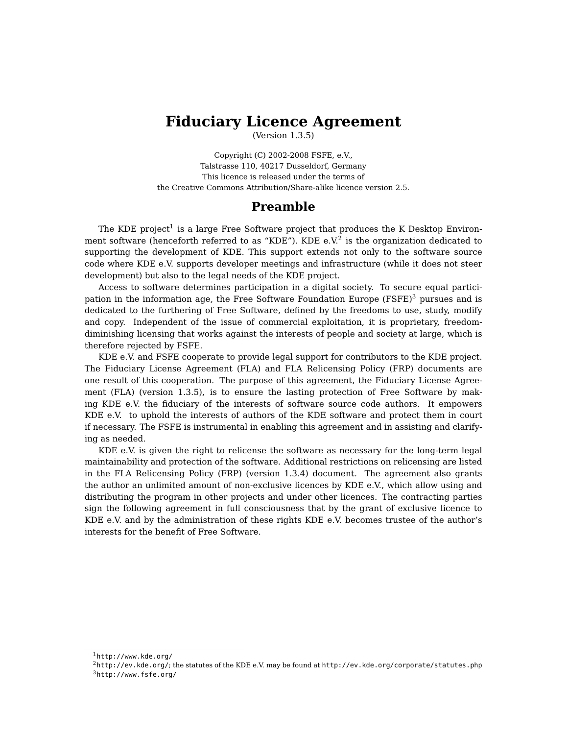## **Fiduciary Licence Agreement**

(Version 1.3.5)

Copyright (C) 2002-2008 FSFE, e.V., Talstrasse 110, 40217 Dusseldorf, Germany This licence is released under the terms of the Creative Commons Attribution/Share-alike licence version 2.5.

### **Preamble**

The KDE project<sup>[1](#page-0-0)</sup> is a large Free Software project that produces the K Desktop Environ-ment software (henceforth referred to as "KDE"). KDE e.V.<sup>[2](#page-0-1)</sup> is the organization dedicated to supporting the development of KDE. This support extends not only to the software source code where KDE e.V. supports developer meetings and infrastructure (while it does not steer development) but also to the legal needs of the KDE project.

Access to software determines participation in a digital society. To secure equal partici-pation in the information age, the Free Software Foundation Europe (FSFE)<sup>[3](#page-0-2)</sup> pursues and is dedicated to the furthering of Free Software, defined by the freedoms to use, study, modify and copy. Independent of the issue of commercial exploitation, it is proprietary, freedomdiminishing licensing that works against the interests of people and society at large, which is therefore rejected by FSFE.

KDE e.V. and FSFE cooperate to provide legal support for contributors to the KDE project. The Fiduciary License Agreement (FLA) and FLA Relicensing Policy (FRP) documents are one result of this cooperation. The purpose of this agreement, the Fiduciary License Agreement (FLA) (version 1.3.5), is to ensure the lasting protection of Free Software by making KDE e.V. the fiduciary of the interests of software source code authors. It empowers KDE e.V. to uphold the interests of authors of the KDE software and protect them in court if necessary. The FSFE is instrumental in enabling this agreement and in assisting and clarifying as needed.

KDE e.V. is given the right to relicense the software as necessary for the long-term legal maintainability and protection of the software. Additional restrictions on relicensing are listed in the FLA Relicensing Policy (FRP) (version 1.3.4) document. The agreement also grants the author an unlimited amount of non-exclusive licences by KDE e.V., which allow using and distributing the program in other projects and under other licences. The contracting parties sign the following agreement in full consciousness that by the grant of exclusive licence to KDE e.V. and by the administration of these rights KDE e.V. becomes trustee of the author's interests for the benefit of Free Software.

<span id="page-0-0"></span> $1$ <http://www.kde.org/>

<span id="page-0-2"></span><span id="page-0-1"></span><sup>2</sup><http://ev.kde.org/>; the statutes of the KDE e.V. may be found at <http://ev.kde.org/corporate/statutes.php> <sup>3</sup><http://www.fsfe.org/>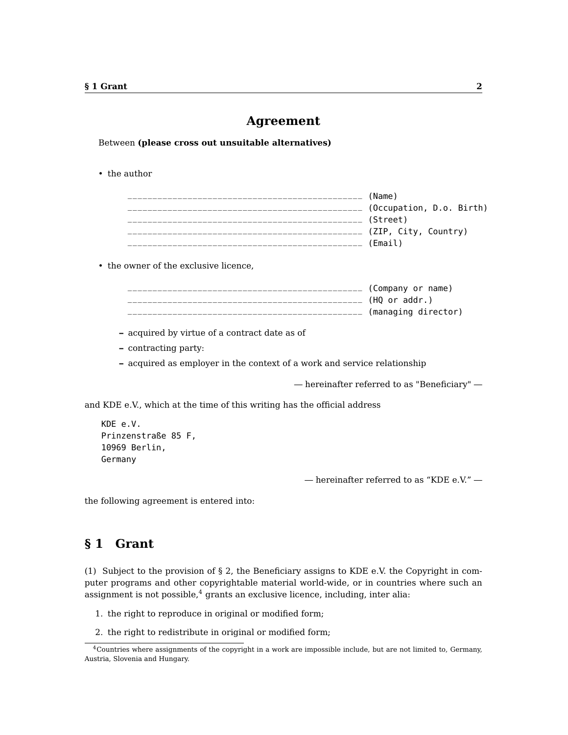#### **Agreement**

Between **(please cross out unsuitable alternatives)**

• the author

| (Name)                   |
|--------------------------|
| (Occupation, D.o. Birth) |
| (Street)                 |
| (ZIP, City, Country)     |
| (Email)                  |

• the owner of the exclusive licence,

| (Company or name)   |
|---------------------|
| (HO or addr.)       |
| (managing director) |

- **–** acquired by virtue of a contract date as of
- **–** contracting party:

**–** acquired as employer in the context of a work and service relationship

— hereinafter referred to as "Beneficiary" —

and KDE e.V., which at the time of this writing has the official address

```
KDE e.V.
Prinzenstraße 85 F,
10969 Berlin,
Germany
```
— hereinafter referred to as "KDE e.V." —

the following agreement is entered into:

### **§ 1 Grant**

(1) Subject to the provision of § 2, the Beneficiary assigns to KDE e.V. the Copyright in computer programs and other copyrightable material world-wide, or in countries where such an assignment is not possible, $4$  grants an exclusive licence, including, inter alia:

- 1. the right to reproduce in original or modified form;
- 2. the right to redistribute in original or modified form;

<span id="page-1-0"></span><sup>4</sup>Countries where assignments of the copyright in a work are impossible include, but are not limited to, Germany, Austria, Slovenia and Hungary.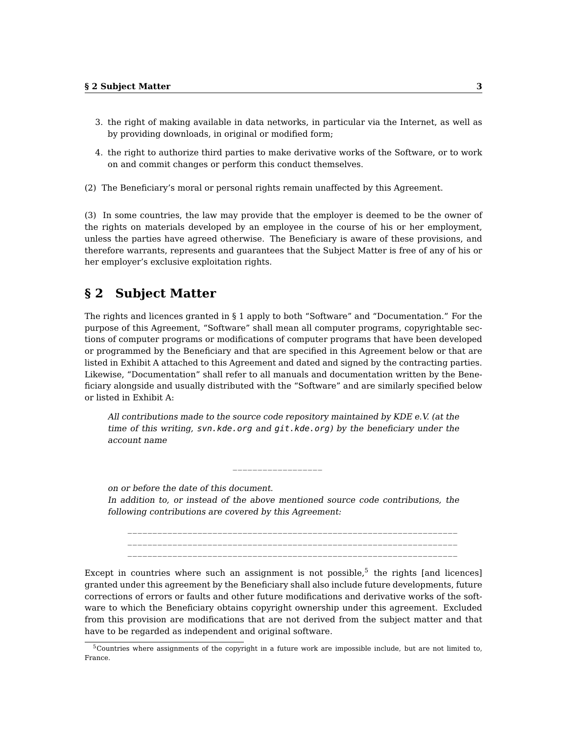- 3. the right of making available in data networks, in particular via the Internet, as well as by providing downloads, in original or modified form;
- 4. the right to authorize third parties to make derivative works of the Software, or to work on and commit changes or perform this conduct themselves.
- (2) The Beneficiary's moral or personal rights remain unaffected by this Agreement.

(3) In some countries, the law may provide that the employer is deemed to be the owner of the rights on materials developed by an employee in the course of his or her employment, unless the parties have agreed otherwise. The Beneficiary is aware of these provisions, and therefore warrants, represents and guarantees that the Subject Matter is free of any of his or her employer's exclusive exploitation rights.

### **§ 2 Subject Matter**

The rights and licences granted in § 1 apply to both "Software" and "Documentation." For the purpose of this Agreement, "Software" shall mean all computer programs, copyrightable sections of computer programs or modifications of computer programs that have been developed or programmed by the Beneficiary and that are specified in this Agreement below or that are listed in Exhibit A attached to this Agreement and dated and signed by the contracting parties. Likewise, "Documentation" shall refer to all manuals and documentation written by the Beneficiary alongside and usually distributed with the "Software" and are similarly specified below or listed in Exhibit A:

All contributions made to the source code repository maintained by KDE e.V. (at the time of this writing, svn.kde.org and git.kde.org) by the beneficiary under the account name

on or before the date of this document. In addition to, or instead of the above mentioned source code contributions, the following contributions are covered by this Agreement:

 $\_$ 

\_\_\_\_\_\_\_\_\_\_\_\_\_\_\_\_\_\_\_\_\_\_\_\_\_\_\_\_\_\_\_\_\_\_\_\_\_\_\_\_\_\_\_\_\_\_\_\_\_\_\_\_\_\_\_\_\_\_\_\_\_\_\_\_\_\_ \_\_\_\_\_\_\_\_\_\_\_\_\_\_\_\_\_\_\_\_\_\_\_\_\_\_\_\_\_\_\_\_\_\_\_\_\_\_\_\_\_\_\_\_\_\_\_\_\_\_\_\_\_\_\_\_\_\_\_\_\_\_\_\_\_\_

Except in countries where such an assignment is not possible, $5$  the rights [and licences] granted under this agreement by the Beneficiary shall also include future developments, future corrections of errors or faults and other future modifications and derivative works of the software to which the Beneficiary obtains copyright ownership under this agreement. Excluded from this provision are modifications that are not derived from the subject matter and that have to be regarded as independent and original software.

<span id="page-2-0"></span><sup>5</sup>Countries where assignments of the copyright in a future work are impossible include, but are not limited to, France.